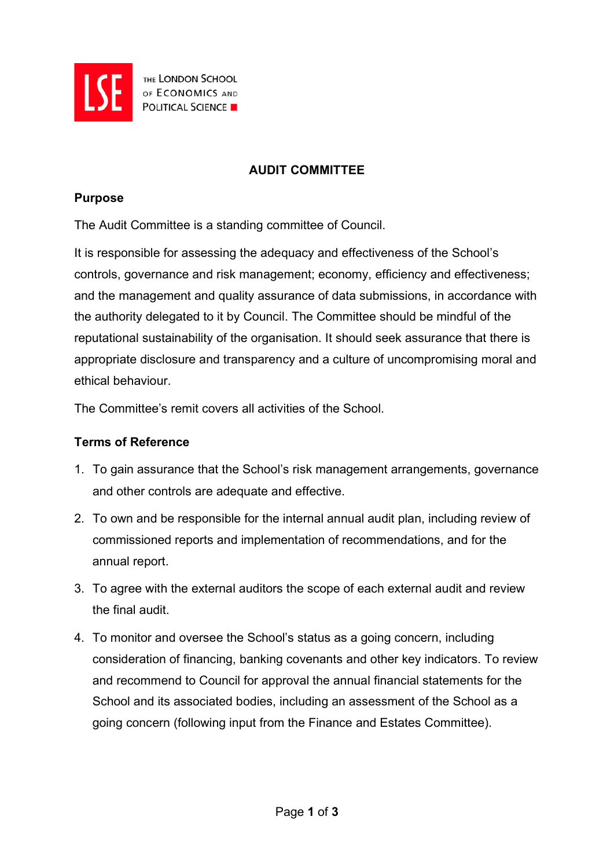

THE LONDON SCHOOL OF ECONOMICS AND

## **AUDIT COMMITTEE**

#### **Purpose**

The Audit Committee is a standing committee of Council.

It is responsible for assessing the adequacy and effectiveness of the School's controls, governance and risk management; economy, efficiency and effectiveness; and the management and quality assurance of data submissions, in accordance with the authority delegated to it by Council. The Committee should be mindful of the reputational sustainability of the organisation. It should seek assurance that there is appropriate disclosure and transparency and a culture of uncompromising moral and ethical behaviour.

The Committee's remit covers all activities of the School.

### **Terms of Reference**

- 1. To gain assurance that the School's risk management arrangements, governance and other controls are adequate and effective.
- 2. To own and be responsible for the internal annual audit plan, including review of commissioned reports and implementation of recommendations, and for the annual report.
- 3. To agree with the external auditors the scope of each external audit and review the final audit.
- 4. To monitor and oversee the School's status as a going concern, including consideration of financing, banking covenants and other key indicators. To review and recommend to Council for approval the annual financial statements for the School and its associated bodies, including an assessment of the School as a going concern (following input from the Finance and Estates Committee).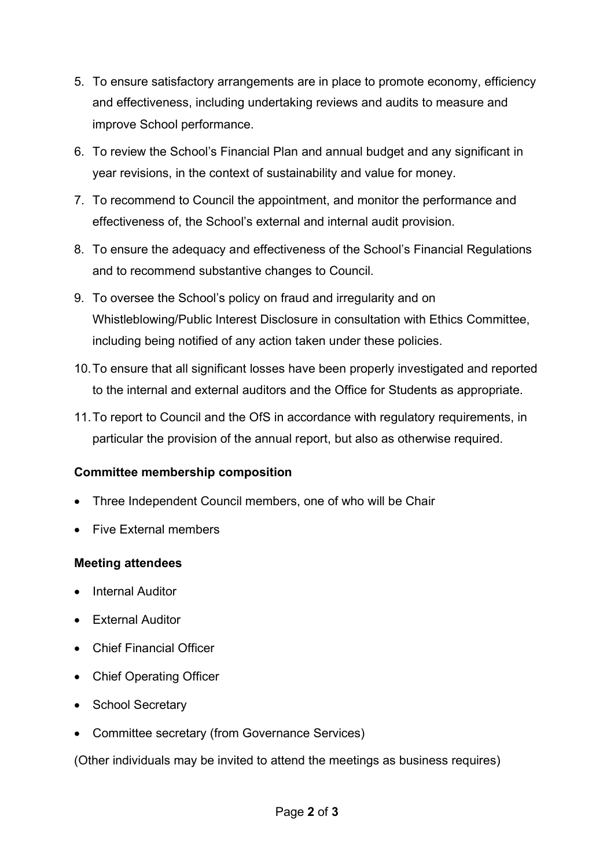- 5. To ensure satisfactory arrangements are in place to promote economy, efficiency and effectiveness, including undertaking reviews and audits to measure and improve School performance.
- 6. To review the School's Financial Plan and annual budget and any significant in year revisions, in the context of sustainability and value for money.
- 7. To recommend to Council the appointment, and monitor the performance and effectiveness of, the School's external and internal audit provision.
- 8. To ensure the adequacy and effectiveness of the School's Financial Regulations and to recommend substantive changes to Council.
- 9. To oversee the School's policy on fraud and irregularity and on Whistleblowing/Public Interest Disclosure in consultation with Ethics Committee, including being notified of any action taken under these policies.
- 10.To ensure that all significant losses have been properly investigated and reported to the internal and external auditors and the Office for Students as appropriate.
- 11.To report to Council and the OfS in accordance with regulatory requirements, in particular the provision of the annual report, but also as otherwise required.

# **Committee membership composition**

- Three Independent Council members, one of who will be Chair
- Five External members

### **Meeting attendees**

- **Internal Auditor**
- External Auditor
- Chief Financial Officer
- Chief Operating Officer
- School Secretary
- Committee secretary (from Governance Services)

(Other individuals may be invited to attend the meetings as business requires)